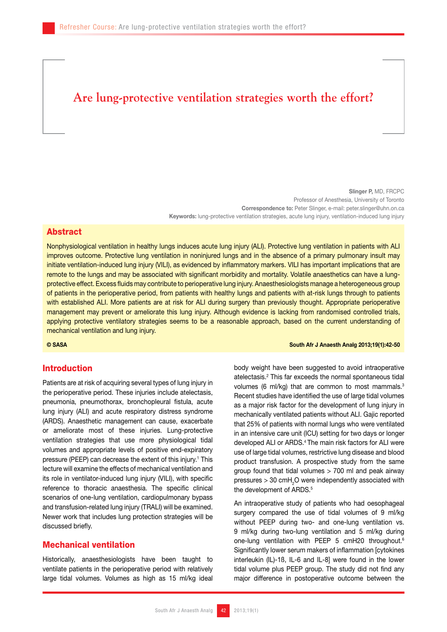# **Are lung-protective ventilation strategies worth the effort?**

Slinger P, MD, FRCPC Professor of Anesthesia, University of Toronto Correspondence to: Peter Slinger, e-mail: peter.slinger@uhn.on.ca Keywords: lung-protective ventilation strategies, acute lung injury, ventilation-induced lung injury

#### Abstract

Nonphysiological ventilation in healthy lungs induces acute lung injury (ALI). Protective lung ventilation in patients with ALI improves outcome. Protective lung ventilation in noninjured lungs and in the absence of a primary pulmonary insult may initiate ventilation-induced lung injury (VILI), as evidenced by inflammatory markers. VILI has important implications that are remote to the lungs and may be associated with significant morbidity and mortality. Volatile anaesthetics can have a lungprotective effect. Excess fluids may contribute to perioperative lung injury. Anaesthesiologists manage a heterogeneous group of patients in the perioperative period, from patients with healthy lungs and patients with at-risk lungs through to patients with established ALI. More patients are at risk for ALI during surgery than previously thought. Appropriate perioperative management may prevent or ameliorate this lung injury. Although evidence is lacking from randomised controlled trials, applying protective ventilatory strategies seems to be a reasonable approach, based on the current understanding of mechanical ventilation and lung injury.

### Introduction

Patients are at risk of acquiring several types of lung injury in the perioperative period. These injuries include atelectasis, pneumonia, pneumothorax, bronchopleural fistula, acute lung injury (ALI) and acute respiratory distress syndrome (ARDS). Anaesthetic management can cause, exacerbate or ameliorate most of these injuries. Lung-protective ventilation strategies that use more physiological tidal volumes and appropriate levels of positive end-expiratory pressure (PEEP) can decrease the extent of this injury.<sup>1</sup> This lecture will examine the effects of mechanical ventilation and its role in ventilator-induced lung injury (VILI), with specific reference to thoracic anaesthesia. The specific clinical scenarios of one-lung ventilation, cardiopulmonary bypass and transfusion-related lung injury (TRALI) will be examined. Newer work that includes lung protection strategies will be discussed briefly.

### Mechanical ventilation

Historically, anaesthesiologists have been taught to ventilate patients in the perioperative period with relatively large tidal volumes. Volumes as high as 15 ml/kg ideal

#### © SASA South Afr J Anaesth Analg 2013;19(1):42-50

body weight have been suggested to avoid intraoperative atelectasis.2 This far exceeds the normal spontaneous tidal volumes (6 ml/kg) that are common to most mammals.<sup>3</sup> Recent studies have identified the use of large tidal volumes as a major risk factor for the development of lung injury in mechanically ventilated patients without ALI. Gajic reported that 25% of patients with normal lungs who were ventilated in an intensive care unit (ICU) setting for two days or longer developed ALI or ARDS.4 The main risk factors for ALI were use of large tidal volumes, restrictive lung disease and blood product transfusion. A prospective study from the same group found that tidal volumes > 700 ml and peak airway pressures  $> 30$  cmH<sub>2</sub>O were independently associated with the development of ARDS.<sup>5</sup>

An intraoperative study of patients who had oesophageal surgery compared the use of tidal volumes of 9 ml/kg without PEEP during two- and one-lung ventilation vs. 9 ml/kg during two-lung ventilation and 5 ml/kg during one-lung ventilation with PEEP 5 cmH20 throughout.6 Significantly lower serum makers of inflammation [cytokines interleukin (IL)-1ß, IL-6 and IL-8] were found in the lower tidal volume plus PEEP group. The study did not find any major difference in postoperative outcome between the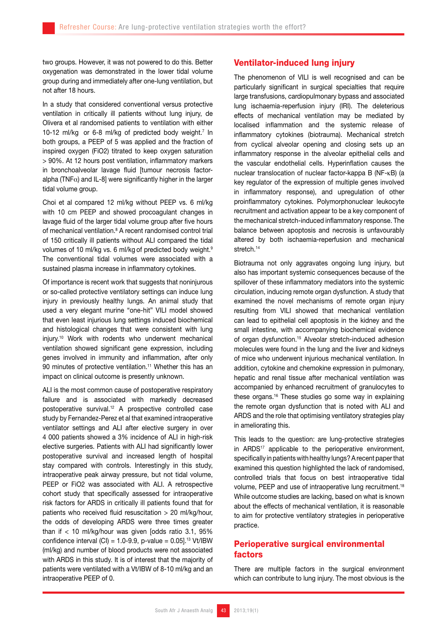two groups. However, it was not powered to do this. Better oxygenation was demonstrated in the lower tidal volume group during and immediately after one-lung ventilation, but not after 18 hours.

In a study that considered conventional versus protective ventilation in critically ill patients without lung injury, de Olivera et al randomised patients to ventilation with either 10-12 ml/kg or 6-8 ml/kg of predicted body weight.<sup>7</sup> In both groups, a PEEP of 5 was applied and the fraction of inspired oxygen (FiO2) titrated to keep oxygen saturation > 90%. At 12 hours post ventilation, inflammatory markers in bronchoalveolar lavage fluid [tumour necrosis factoralpha (TNF $\alpha$ ) and IL-8] were significantly higher in the larger tidal volume group.

Choi et al compared 12 ml/kg without PEEP vs. 6 ml/kg with 10 cm PEEP and showed procoagulant changes in lavage fluid of the larger tidal volume group after five hours of mechanical ventilation.<sup>8</sup> A recent randomised control trial of 150 critically ill patients without ALI compared the tidal volumes of 10 ml/kg vs. 6 ml/kg of predicted body weight.<sup>9</sup> The conventional tidal volumes were associated with a sustained plasma increase in inflammatory cytokines.

Of importance is recent work that suggests that noninjurous or so-called protective ventilatory settings can induce lung injury in previously healthy lungs. An animal study that used a very elegant murine "one-hit" VILI model showed that even least injurious lung settings induced biochemical and histological changes that were consistent with lung injury.10 Work with rodents who underwent mechanical ventilation showed significant gene expression, including genes involved in immunity and inflammation, after only 90 minutes of protective ventilation.<sup>11</sup> Whether this has an impact on clinical outcome is presently unknown.

ALI is the most common cause of postoperative respiratory failure and is associated with markedly decreased postoperative survival.12 A prospective controlled case study by Fernandez-Perez et al that examined intraoperative ventilator settings and ALI after elective surgery in over 4 000 patients showed a 3% incidence of ALI in high-risk elective surgeries. Patients with ALI had significantly lower postoperative survival and increased length of hospital stay compared with controls. Interestingly in this study, intraoperative peak airway pressure, but not tidal volume, PEEP or FiO2 was associated with ALI. A retrospective cohort study that specifically assessed for intraoperative risk factors for ARDS in critically ill patients found that for patients who received fluid resuscitation > 20 ml/kg/hour, the odds of developing ARDS were three times greater than if  $<$  10 ml/kg/hour was given [odds ratio 3.1, 95%] confidence interval (CI) =  $1.0-9.9$ , p-value =  $0.05$ ].<sup>13</sup> Vt/IBW (ml/kg) and number of blood products were not associated with ARDS in this study. It is of interest that the majority of patients were ventilated with a Vt/IBW of 8-10 ml/kg and an intraoperative PEEP of 0.

## Ventilator-induced lung injury

The phenomenon of VILI is well recognised and can be particularly significant in surgical specialties that require large transfusions, cardiopulmonary bypass and associated lung ischaemia-reperfusion injury (IRI). The deleterious effects of mechanical ventilation may be mediated by localised inflammation and the systemic release of inflammatory cytokines (biotrauma). Mechanical stretch from cyclical alveolar opening and closing sets up an inflammatory response in the alveolar epithelial cells and the vascular endothelial cells. Hyperinflation causes the nuclear translocation of nuclear factor-kappa B (NF-kB) (a key regulator of the expression of multiple genes involved in inflammatory response), and upregulation of other proinflammatory cytokines. Polymorphonuclear leukocyte recruitment and activation appear to be a key component of the mechanical stretch-induced inflammatory response. The balance between apoptosis and necrosis is unfavourably altered by both ischaemia-reperfusion and mechanical stretch.<sup>14</sup>

Biotrauma not only aggravates ongoing lung injury, but also has important systemic consequences because of the spillover of these inflammatory mediators into the systemic circulation, inducing remote organ dysfunction. A study that examined the novel mechanisms of remote organ injury resulting from VILI showed that mechanical ventilation can lead to epithelial cell apoptosis in the kidney and the small intestine, with accompanying biochemical evidence of organ dysfunction.<sup>15</sup> Alveolar stretch-induced adhesion molecules were found in the lung and the liver and kidneys of mice who underwent injurious mechanical ventilation. In addition, cytokine and chemokine expression in pulmonary, hepatic and renal tissue after mechanical ventilation was accompanied by enhanced recruitment of granulocytes to these organs.16 These studies go some way in explaining the remote organ dysfunction that is noted with ALI and ARDS and the role that optimising ventilatory strategies play in ameliorating this.

This leads to the question: are lung-protective strategies in ARDS<sup>17</sup> applicable to the perioperative environment, specifically in patients with healthy lungs? A recent paper that examined this question highlighted the lack of randomised, controlled trials that focus on best intraoperative tidal volume, PEEP and use of intraoperative lung recruitment.<sup>18</sup> While outcome studies are lacking, based on what is known about the effects of mechanical ventilation, it is reasonable to aim for protective ventilatory strategies in perioperative practice.

# Perioperative surgical environmental factors

There are multiple factors in the surgical environment which can contribute to lung injury. The most obvious is the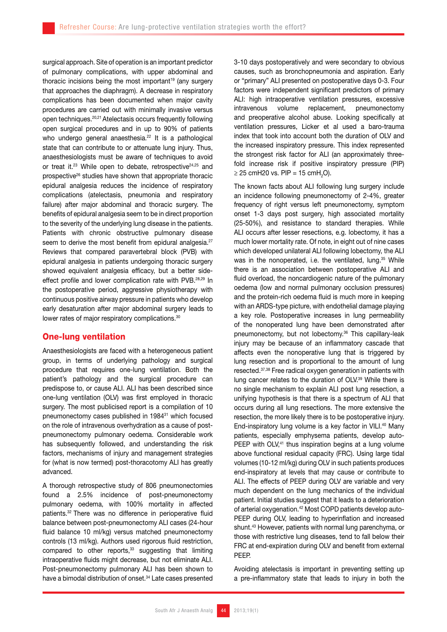surgical approach. Site of operation is an important predictor of pulmonary complications, with upper abdominal and thoracic incisions being the most important<sup>19</sup> (any surgery that approaches the diaphragm). A decrease in respiratory complications has been documented when major cavity procedures are carried out with minimally invasive versus open techniques.20,21 Atelectasis occurs frequently following open surgical procedures and in up to 90% of patients who undergo general anaesthesia.<sup>22</sup> It is a pathological state that can contribute to or attenuate lung injury. Thus, anaesthesiologists must be aware of techniques to avoid or treat it.<sup>23</sup> While open to debate, retrospective<sup>24,25</sup> and prospective26 studies have shown that appropriate thoracic epidural analgesia reduces the incidence of respiratory complications (atelectasis, pneumonia and respiratory failure) after major abdominal and thoracic surgery. The benefits of epidural analgesia seem to be in direct proportion to the severity of the underlying lung disease in the patients. Patients with chronic obstructive pulmonary disease seem to derive the most benefit from epidural analgesia.<sup>27</sup> Reviews that compared paravertebral block (PVB) with epidural analgesia in patients undergoing thoracic surgery showed equivalent analgesia efficacy, but a better sideeffect profile and lower complication rate with PVB.28,29 In the postoperative period, aggressive physiotherapy with continuous positive airway pressure in patients who develop early desaturation after major abdominal surgery leads to lower rates of major respiratory complications.<sup>30</sup>

### One-lung ventilation

Anaesthesiologists are faced with a heterogeneous patient group, in terms of underlying pathology and surgical procedure that requires one-lung ventilation. Both the patient's pathology and the surgical procedure can predispose to, or cause ALI. ALI has been described since one-lung ventilation (OLV) was first employed in thoracic surgery. The most publicised report is a compilation of 10 pneumonectomy cases published in 198431 which focused on the role of intravenous overhydration as a cause of postpneumonectomy pulmonary oedema. Considerable work has subsequently followed, and understanding the risk factors, mechanisms of injury and management strategies for (what is now termed) post-thoracotomy ALI has greatly advanced.

A thorough retrospective study of 806 pneumonectomies found a 2.5% incidence of post-pneumonectomy pulmonary oedema, with 100% mortality in affected patients.32 There was no difference in perioperative fluid balance between post-pneumonectomy ALI cases (24-hour fluid balance 10 ml/kg) versus matched pneumonectomy controls (13 ml/kg). Authors used rigorous fluid restriction, compared to other reports,<sup>33</sup> suggesting that limiting intraoperative fluids might decrease, but not eliminate ALI. Post-pneumonectomy pulmonary ALI has been shown to have a bimodal distribution of onset.<sup>34</sup> Late cases presented

3-10 days postoperatively and were secondary to obvious causes, such as bronchopneumonia and aspiration. Early or "primary" ALI presented on postoperative days 0-3. Four factors were independent significant predictors of primary ALI: high intraoperative ventilation pressures, excessive intravenous volume replacement, pneumonectomy and preoperative alcohol abuse. Looking specifically at ventilation pressures, Licker et al used a baro-trauma index that took into account both the duration of OLV and the increased inspiratory pressure. This index represented the strongest risk factor for ALI (an approximately threefold increase risk if positive inspiratory pressure (PIP)  $\geq$  25 cmH20 vs. PIP = 15 cmH<sub>2</sub>O).

The known facts about ALI following lung surgery include an incidence following pneumonectomy of 2-4%, greater frequency of right versus left pneumonectomy, symptom onset 1-3 days post surgery, high associated mortality (25-50%), and resistance to standard therapies. While ALI occurs after lesser resections, e.g. lobectomy, it has a much lower mortality rate. Of note, in eight out of nine cases which developed unilateral ALI following lobectomy, the ALI was in the nonoperated, i.e. the ventilated, lung.<sup>35</sup> While there is an association between postoperative ALI and fluid overload, the noncardiogenic nature of the pulmonary oedema (low and normal pulmonary occlusion pressures) and the protein-rich oedema fluid is much more in keeping with an ARDS-type picture, with endothelial damage playing a key role. Postoperative increases in lung permeability of the nonoperated lung have been demonstrated after pneumonectomy, but not lobectomy.36 This capillary-leak injury may be because of an inflammatory cascade that affects even the nonoperative lung that is triggered by lung resection and is proportional to the amount of lung resected.37,38 Free radical oxygen generation in patients with lung cancer relates to the duration of OLV.<sup>39</sup> While there is no single mechanism to explain ALI post lung resection, a unifying hypothesis is that there is a spectrum of ALI that occurs during all lung resections. The more extensive the resection, the more likely there is to be postoperative injury. End-inspiratory lung volume is a key factor in VILI.<sup>40</sup> Many patients, especially emphysema patients, develop auto-PEEP with OLV,<sup>41</sup> thus inspiration begins at a lung volume above functional residual capacity (FRC). Using large tidal volumes (10-12 ml/kg) during OLV in such patients produces end-inspiratory at levels that may cause or contribute to ALI. The effects of PEEP during OLV are variable and very much dependent on the lung mechanics of the individual patient. Initial studies suggest that it leads to a deterioration of arterial oxygenation.42 Most COPD patients develop auto-PEEP during OLV, leading to hyperinflation and increased shunt.43 However, patients with normal lung parenchyma, or those with restrictive lung diseases, tend to fall below their FRC at end-expiration during OLV and benefit from external PEEP.

Avoiding atelectasis is important in preventing setting up a pre-inflammatory state that leads to injury in both the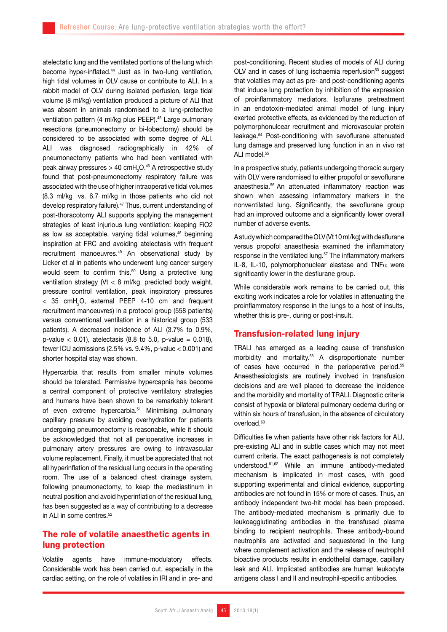atelectatic lung and the ventilated portions of the lung which become hyper-inflated.<sup>44</sup> Just as in two-lung ventilation, high tidal volumes in OLV cause or contribute to ALI. In a rabbit model of OLV during isolated perfusion, large tidal volume (8 ml/kg) ventilation produced a picture of ALI that was absent in animals randomised to a lung-protective ventilation pattern (4 ml/kg plus PEEP).<sup>45</sup> Large pulmonary resections (pneumonectomy or bi-lobectomy) should be considered to be associated with some degree of ALI. ALI was diagnosed radiographically in 42% of pneumonectomy patients who had been ventilated with peak airway pressures > 40 cmH $_{\textrm{\tiny{2}}}$ O. $^{46}$  A retrospective study found that post-pneumonectomy respiratory failure was associated with the use of higher intraoperative tidal volumes (8.3 ml/kg vs. 6.7 ml/kg in those patients who did not develop respiratory failure).<sup>47</sup> Thus, current understanding of post-thoracotomy ALI supports applying the management strategies of least injurious lung ventilation: keeping FiO2 as low as acceptable, varying tidal volumes,<sup>48</sup> beginning inspiration at FRC and avoiding atelectasis with frequent recruitment manoeuvres.49 An observational study by Licker et al in patients who underwent lung cancer surgery would seem to confirm this.<sup>50</sup> Using a protective lung ventilation strategy (Vt < 8 ml/kg predicted body weight, pressure control ventilation, peak inspiratory pressures  $<$  35 cmH<sub>2</sub>O, external PEEP 4-10 cm and frequent recruitment manoeuvres) in a protocol group (558 patients) versus conventional ventilation in a historical group (533 patients). A decreased incidence of ALI (3.7% to 0.9%, p-value < 0.01), atelectasis (8.8 to 5.0, p-value = 0.018), fewer ICU admissions (2.5% vs. 9.4%, p-value < 0.001) and shorter hospital stay was shown.

Hypercarbia that results from smaller minute volumes should be tolerated. Permissive hypercapnia has become a central component of protective ventilatory strategies and humans have been shown to be remarkably tolerant of even extreme hypercarbia.<sup>51</sup> Minimising pulmonary capillary pressure by avoiding overhydration for patients undergoing pneumonectomy is reasonable, while it should be acknowledged that not all perioperative increases in pulmonary artery pressures are owing to intravascular volume replacement. Finally, it must be appreciated that not all hyperinflation of the residual lung occurs in the operating room. The use of a balanced chest drainage system, following pneumonectomy, to keep the mediastinum in neutral position and avoid hyperinflation of the residual lung, has been suggested as a way of contributing to a decrease in ALI in some centres.<sup>52</sup>

# The role of volatile anaesthetic agents in lung protection

Volatile agents have immune-modulatory effects. Considerable work has been carried out, especially in the cardiac setting, on the role of volatiles in IRI and in pre- and

post-conditioning. Recent studies of models of ALI during OLV and in cases of lung ischaemia reperfusion<sup>53</sup> suggest that volatiles may act as pre- and post-conditioning agents that induce lung protection by inhibition of the expression of proinflammatory mediators. Isoflurane pretreatment in an endotoxin-mediated animal model of lung injury exerted protective effects, as evidenced by the reduction of polymorphonulcear recruitment and microvascular protein leakage.54 Post-conditioning with sevoflurane attenuated lung damage and preserved lung function in an in vivo rat ALI model.<sup>55</sup>

In a prospective study, patients undergoing thoracic surgery with OLV were randomised to either propofol or sevoflurane anaesthesia.56 An attenuated inflammatory reaction was shown when assessing inflammatory markers in the nonventilated lung. Significantly, the sevoflurane group had an improved outcome and a significantly lower overall number of adverse events.

A study which compared the OLV (Vt 10 ml/kg) with desflurane versus propofol anaesthesia examined the inflammatory response in the ventilated lung.<sup>57</sup> The inflammatory markers IL-8, IL-10, polymorphonuclear elastase and TNF $\alpha$  were significantly lower in the desflurane group.

While considerable work remains to be carried out, this exciting work indicates a role for volatiles in attenuating the proinflammatory response in the lungs to a host of insults, whether this is pre-, during or post-insult.

# Transfusion-related lung injury

TRALI has emerged as a leading cause of transfusion morbidity and mortality.58 A disproportionate number of cases have occurred in the perioperative period.<sup>59</sup> Anaesthesiologists are routinely involved in transfusion decisions and are well placed to decrease the incidence and the morbidity and mortality of TRALI. Diagnostic criteria consist of hypoxia or bilateral pulmonary oedema during or within six hours of transfusion, in the absence of circulatory overload.<sup>60</sup>

Difficulties lie when patients have other risk factors for ALI, pre-existing ALI and in subtle cases which may not meet current criteria. The exact pathogenesis is not completely understood.61,62 While an immune antibody-mediated mechanism is implicated in most cases, with good supporting experimental and clinical evidence, supporting antibodies are not found in 15% or more of cases. Thus, an antibody independent two-hit model has been proposed. The antibody-mediated mechanism is primarily due to leukoagglutinating antibodies in the transfused plasma binding to recipient neutrophils. These antibody-bound neutrophils are activated and sequestered in the lung where complement activation and the release of neutrophil bioactive products results in endothelial damage, capillary leak and ALI. Implicated antibodies are human leukocyte antigens class I and II and neutrophil-specific antibodies.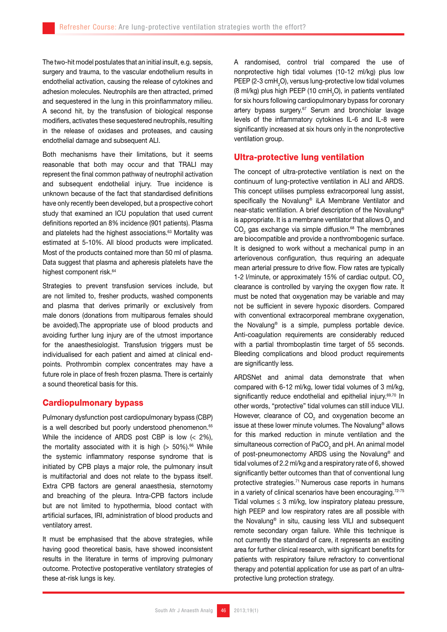The two-hit model postulates that an initial insult, e.g. sepsis, surgery and trauma, to the vascular endothelium results in endothelial activation, causing the release of cytokines and adhesion molecules. Neutrophils are then attracted, primed and sequestered in the lung in this proinflammatory milieu. A second hit, by the transfusion of biological response modifiers, activates these sequestered neutrophils, resulting in the release of oxidases and proteases, and causing endothelial damage and subsequent ALI.

Both mechanisms have their limitations, but it seems reasonable that both may occur and that TRALI may represent the final common pathway of neutrophil activation and subsequent endothelial injury. True incidence is unknown because of the fact that standardised definitions have only recently been developed, but a prospective cohort study that examined an ICU population that used current definitions reported an 8% incidence (901 patients). Plasma and platelets had the highest associations.<sup>63</sup> Mortality was estimated at 5-10%. All blood products were implicated. Most of the products contained more than 50 ml of plasma. Data suggest that plasma and apheresis platelets have the highest component risk.<sup>64</sup>

Strategies to prevent transfusion services include, but are not limited to, fresher products, washed components and plasma that derives primarily or exclusively from male donors (donations from multiparous females should be avoided).The appropriate use of blood products and avoiding further lung injury are of the utmost importance for the anaesthesiologist. Transfusion triggers must be individualised for each patient and aimed at clinical endpoints. Prothrombin complex concentrates may have a future role in place of fresh frozen plasma. There is certainly a sound theoretical basis for this.

## Cardiopulmonary bypass

Pulmonary dysfunction post cardiopulmonary bypass (CBP) is a well described but poorly understood phenomenon.<sup>65</sup> While the incidence of ARDS post CBP is low (< 2%), the mortality associated with it is high  $($  > 50%).<sup>66</sup> While the systemic inflammatory response syndrome that is initiated by CPB plays a major role, the pulmonary insult is multifactorial and does not relate to the bypass itself. Extra CPB factors are general anaesthesia, sternotomy and breaching of the pleura. Intra-CPB factors include but are not limited to hypothermia, blood contact with artificial surfaces, IRI, administration of blood products and ventilatory arrest.

It must be emphasised that the above strategies, while having good theoretical basis, have showed inconsistent results in the literature in terms of improving pulmonary outcome. Protective postoperative ventilatory strategies of these at-risk lungs is key.

A randomised, control trial compared the use of nonprotective high tidal volumes (10-12 ml/kg) plus low PEEP (2-3  $\text{cmH}_{2}$ O), versus lung-protective low tidal volumes (8 ml/kg) plus high PEEP (10 cmH<sub>2</sub>O), in patients ventilated for six hours following cardiopulmonary bypass for coronary artery bypass surgery.<sup>67</sup> Serum and bronchiolar lavage levels of the inflammatory cytokines IL-6 and IL-8 were significantly increased at six hours only in the nonprotective ventilation group.

### Ultra-protective lung ventilation

The concept of ultra-protective ventilation is next on the continuum of lung-protective ventilation in ALI and ARDS. This concept utilises pumpless extracorporeal lung assist, specifically the Novalung® iLA Membrane Ventilator and near-static ventilation. A brief description of the Novalung® is appropriate. It is a membrane ventilator that allows  $\mathsf{O}_2$  and  $CO<sub>2</sub>$  gas exchange via simple diffusion.<sup>68</sup> The membranes are biocompatible and provide a nonthrombogenic surface. It is designed to work without a mechanical pump in an arteriovenous configuration, thus requiring an adequate mean arterial pressure to drive flow. Flow rates are typically 1-2 l/minute, or approximately 15% of cardiac output. CO<sub>2</sub> clearance is controlled by varying the oxygen flow rate. It must be noted that oxygenation may be variable and may not be sufficient in severe hypoxic disorders. Compared with conventional extracorporeal membrane oxygenation, the Novalung® is a simple, pumpless portable device. Anti-coagulation requirements are considerably reduced with a partial thromboplastin time target of 55 seconds. Bleeding complications and blood product requirements are significantly less.

ARDSNet and animal data demonstrate that when compared with 6-12 ml/kg, lower tidal volumes of 3 ml/kg, significantly reduce endothelial and epithelial injury.<sup>69,70</sup> In other words, "protective" tidal volumes can still induce VILI. However, clearance of  $CO<sub>2</sub>$  and oxygenation become an issue at these lower minute volumes. The Novalung® allows for this marked reduction in minute ventilation and the simultaneous correction of  $\mathsf{PaCO}_2$  and pH. An animal model of post-pneumonectomy ARDS using the Novalung® and tidal volumes of 2.2 ml/kg and a respiratory rate of 6, showed significantly better outcomes than that of conventional lung protective strategies.71 Numerous case reports in humans in a variety of clinical scenarios have been encouraging.<sup>72-75</sup> Tidal volumes  $\leq$  3 ml/kg, low inspiratory plateau pressure, high PEEP and low respiratory rates are all possible with the Novalung® in situ, causing less VILI and subsequent remote secondary organ failure. While this technique is not currently the standard of care, it represents an exciting area for further clinical research, with significant benefits for patients with respiratory failure refractory to conventional therapy and potential application for use as part of an ultraprotective lung protection strategy.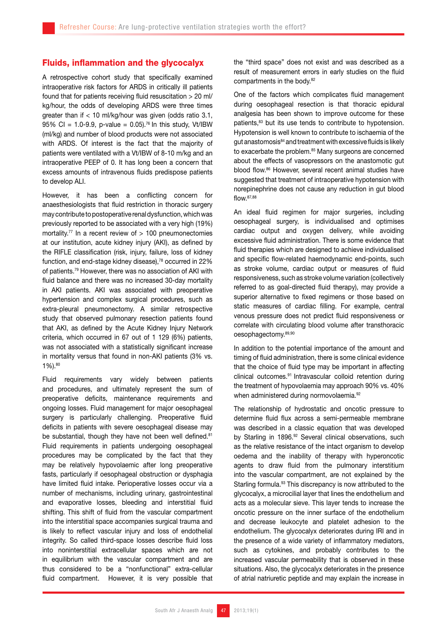## Fluids, inflammation and the glycocalyx

A retrospective cohort study that specifically examined intraoperative risk factors for ARDS in critically ill patients found that for patients receiving fluid resuscitation > 20 ml/ kg/hour, the odds of developing ARDS were three times greater than if < 10 ml/kg/hour was given (odds ratio 3.1, 95% CI = 1.0-9.9, p-value =  $0.05$ ).<sup>76</sup> In this study, Vt/IBW (ml/kg) and number of blood products were not associated with ARDS. Of interest is the fact that the majority of patients were ventilated with a Vt/IBW of 8-10 m/kg and an intraoperative PEEP of 0. It has long been a concern that excess amounts of intravenous fluids predispose patients to develop ALI.

However, it has been a conflicting concern for anaesthesiologists that fluid restriction in thoracic surgery may contribute to postoperative renal dysfunction, which was previously reported to be associated with a very high (19%) mortality.<sup>77</sup> In a recent review of  $> 100$  pneumonectomies at our institution, acute kidney injury (AKI), as defined by the RIFLE classification (risk, injury, failure, loss of kidney function, and end-stage kidney disease), $78$  occurred in 22% of patients.79 However, there was no association of AKI with fluid balance and there was no increased 30-day mortality in AKI patients. AKI was associated with preoperative hypertension and complex surgical procedures, such as extra-pleural pneumonectomy. A similar retrospective study that observed pulmonary resection patients found that AKI, as defined by the Acute Kidney Injury Network criteria, which occurred in 67 out of 1 129 (6%) patients, was not associated with a statistically significant increase in mortality versus that found in non-AKI patients (3% vs. 1%).80

Fluid requirements vary widely between patients and procedures, and ultimately represent the sum of preoperative deficits, maintenance requirements and ongoing losses. Fluid management for major oesophageal surgery is particularly challenging. Preoperative fluid deficits in patients with severe oesophageal disease may be substantial, though they have not been well defined.<sup>81</sup> Fluid requirements in patients undergoing oesophageal procedures may be complicated by the fact that they may be relatively hypovolaemic after long preoperative fasts, particularly if oesophageal obstruction or dysphagia have limited fluid intake. Perioperative losses occur via a number of mechanisms, including urinary, gastrointestinal and evaporative losses, bleeding and interstitial fluid shifting. This shift of fluid from the vascular compartment into the interstitial space accompanies surgical trauma and is likely to reflect vascular injury and loss of endothelial integrity. So called third-space losses describe fluid loss into noninterstitial extracellular spaces which are not in equilibrium with the vascular compartment and are thus considered to be a "nonfunctional" extra-cellular fluid compartment. However, it is very possible that the "third space" does not exist and was described as a result of measurement errors in early studies on the fluid compartments in the body.<sup>82</sup>

One of the factors which complicates fluid management during oesophageal resection is that thoracic epidural analgesia has been shown to improve outcome for these patients,<sup>83</sup> but its use tends to contribute to hypotension. Hypotension is well known to contribute to ischaemia of the gut anastomosis<sup>84</sup> and treatment with excessive fluids is likely to exacerbate the problem.<sup>85</sup> Many surgeons are concerned about the effects of vasopressors on the anastomotic gut blood flow.86 However, several recent animal studies have suggested that treatment of intraoperative hypotension with norepinephrine does not cause any reduction in gut blood flow.87,88

An ideal fluid regimen for major surgeries, including oesophageal surgery, is individualised and optimises cardiac output and oxygen delivery, while avoiding excessive fluid administration. There is some evidence that fluid therapies which are designed to achieve individualised and specific flow-related haemodynamic end-points, such as stroke volume, cardiac output or measures of fluid responsiveness, such as stroke volume variation (collectively referred to as goal-directed fluid therapy), may provide a superior alternative to fixed regimens or those based on static measures of cardiac filling. For example, central venous pressure does not predict fluid responsiveness or correlate with circulating blood volume after transthoracic oesophagectomy.89,90

In addition to the potential importance of the amount and timing of fluid administration, there is some clinical evidence that the choice of fluid type may be important in affecting clinical outcomes.91 Intravascular colloid retention during the treatment of hypovolaemia may approach 90% vs. 40% when administered during normovolaemia.<sup>92</sup>

The relationship of hydrostatic and oncotic pressure to determine fluid flux across a semi-permeable membrane was described in a classic equation that was developed by Starling in 1896.<sup>92</sup> Several clinical observations, such as the relative resistance of the intact organism to develop oedema and the inability of therapy with hyperoncotic agents to draw fluid from the pulmonary interstitium into the vascular compartment, are not explained by the Starling formula.<sup>93</sup> This discrepancy is now attributed to the glycocalyx, a microcilial layer that lines the endothelium and acts as a molecular sieve. This layer tends to increase the oncotic pressure on the inner surface of the endothelium and decrease leukocyte and platelet adhesion to the endothelium. The glycocalyx deteriorates during IRI and in the presence of a wide variety of inflammatory mediators, such as cytokines, and probably contributes to the increased vascular permeability that is observed in these situations. Also, the glycocalyx deteriorates in the presence of atrial natriuretic peptide and may explain the increase in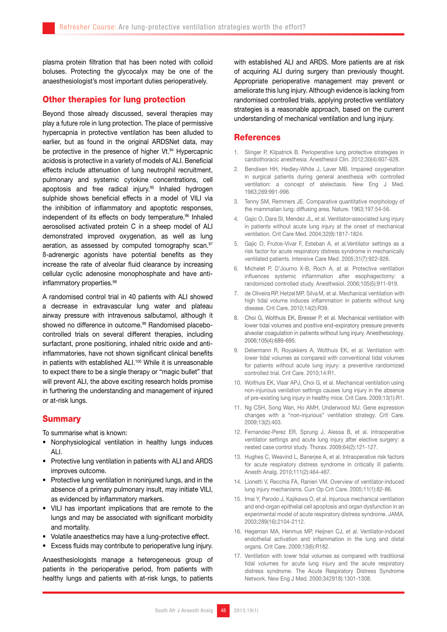plasma protein filtration that has been noted with colloid boluses. Protecting the glycocalyx may be one of the anaesthesiologist's most important duties perioperatively.

### Other therapies for lung protection

Beyond those already discussed, several therapies may play a future role in lung protection. The place of permissive hypercapnia in protective ventilation has been alluded to earlier, but as found in the original ARDSNet data, may be protective in the presence of higher Vt.<sup>94</sup> Hypercapnic acidosis is protective in a variety of models of ALI. Beneficial effects include attenuation of lung neutrophil recruitment, pulmonary and systemic cytokine concentrations, cell apoptosis and free radical injury.<sup>95</sup> Inhaled hydrogen sulphide shows beneficial effects in a model of VILI via the inhibition of inflammatory and apoptotic responses, independent of its effects on body temperature.<sup>96</sup> Inhaled aerosolised activated protein C in a sheep model of ALI demonstrated improved oxygenation, as well as lung aeration, as assessed by computed tomography scan.<sup>97</sup> ß-adrenergic agonists have potential benefits as they increase the rate of alveolar fluid clearance by increasing cellular cyclic adenosine monophosphate and have antiinflammatory properties.<sup>98</sup>

A randomised control trial in 40 patients with ALI showed a decrease in extravascular lung water and plateau airway pressure with intravenous salbutamol, although it showed no difference in outcome.<sup>99</sup> Randomised placebocontrolled trials on several different therapies, including surfactant, prone positioning, inhaled nitric oxide and antiinflammatories, have not shown significant clinical benefits in patients with established ALI.<sup>100</sup> While it is unreasonable to expect there to be a single therapy or "magic bullet" that will prevent ALI, the above exciting research holds promise in furthering the understanding and management of injured or at-risk lungs.

### **Summary**

To summarise what is known:

- Nonphysiological ventilation in healthy lungs induces ALI.
- Protective lung ventilation in patients with ALI and ARDS improves outcome.
- Protective lung ventilation in noninjured lungs, and in the absence of a primary pulmonary insult, may initiate VILI, as evidenced by inflammatory markers.
- • VILI has important implications that are remote to the lungs and may be associated with significant morbidity and mortality.
- Volatile anaesthetics may have a lung-protective effect.
- • Excess fluids may contribute to perioperative lung injury.

Anaesthesiologists manage a heterogeneous group of patients in the perioperative period, from patients with healthy lungs and patients with at-risk lungs, to patients with established ALI and ARDS. More patients are at risk of acquiring ALI during surgery than previously thought. Appropriate perioperative management may prevent or ameliorate this lung injury. Although evidence is lacking from randomised controlled trials, applying protective ventilatory strategies is a reasonable approach, based on the current understanding of mechanical ventilation and lung injury.

#### **References**

- 1. Slinger P, Kilpatrick B. Perioperative lung protective strategies in cardiothoracic anesthesia. Anesthesiol Clin. 2012;30(4):607-628.
- 2. Bendixen HH, Hedley-White J, Laver MB. Impaired oxygenation in surgical patients during general anesthesia with controlled ventilation: a concept of atelectasis. New Eng J Med. 1963;269:991-996.
- 3. Tenny SM, Remmers JE. Comparative quantitative morphology of the mammalian lung: diffusing area. Nature. 1963;197:54-56.
- 4. Gajic O, Dara SI, Mendez JL, et al. Ventilator-associated lung injury in patients without acute lung injury at the onset of mechanical ventilation. Crit Care Med. 2004;32(9):1817-1824.
- 5. Gajic O, Frutos-Vivar F, Esteban A, et al.Ventilator settings as a risk factor for acute respiratory distress syndrome in mechanically ventilated patients. Intensive Care Med. 2005;31(7):922-926.
- 6. Michelet P, D'Journo X-B, Roch A, at al. Protective ventilation influences systemic inflammation after esophagectomy: a randomized controlled study. Anesthesiol. 2006;105(5):911-919.
- 7. de OliveiraRP, Hetzel MP, Silva M, et al. Mechanical ventilation with high tidal volume induces inflammation in patients without lung disease. Crit Care. 2010;14(2):R39.
- 8. Choi G, Wolthuis EK, Bresser P, et al. Mechanical ventilation with lower tidal volumes and positive end-expiratory pressure prevents alveolar coagulation in patients without lung injury. Anesthesiology. 2006;105(4):689-695.
- 9. Determann R, Royakkers A, Wolthuis EK, et al. Ventilation with lower tidal volumes as compared with conventional tidal volumes for patients without acute lung injury: a preventive randomized controlled trial. Crit Care. 2010;14:R1.
- 10. Wolthuis EK, Vlaar APJ, Choi G, et al. Mechanical ventilation using non-injurious venilation settings causes lung injury in the absence of pre-existing lung injury in healthy mice. Crit Care. 2009;13(1):R1.
- 11. Ng CSH, Song Wan, Ho AMH, Underwood MJ. Gene expression changes with a "non-injurious" ventilation strategy. Crit Care. 2009;13(2):403.
- 12. Fernandez-Perez ER, Sprung J, Alessa B, et al. Intraoperative ventilator settings and acute lung injury after elective surgery: a nested case control study. Thorax. 2009;64(2):121-127.
- 13. Hughes C, Weavind L, Banerjee A, et al. Intraoperative risk factors for acute respiratory distress syndrome in critically ill patients. Anesth Analg. 2010;111(2):464-467.
- 14. Lionetti V, Recchia FA, Ranieri VM. Overview of ventilator-induced lung injury mechanisms. Curr Op Crit Care. 2005;11(1):82-86.
- 15. Imai Y, Parodo J, Kajikawa O, et al. Injurious mechanical ventilation and end-organ epithelial cell apoptosis and organ dysfunction in an experimental model of acute respiratory distress syndrome. JAMA. 2003;289(16):2104-2112.
- 16. Hegeman MA, Henmus MP, Heijnen CJ, et al. Ventilator-induced endothelial activation and inflammation in the lung and distal organs. Crit Care. 2009;13(6):R182.
- 17. Ventilation with lower tidal volumes as compared with traditional tidal volumes for acute lung injury and the acute respiratory distress syndrome. The Acute Respiratory Distress Syndrome Network. New Eng J Med. 2000;342918):1301-1308.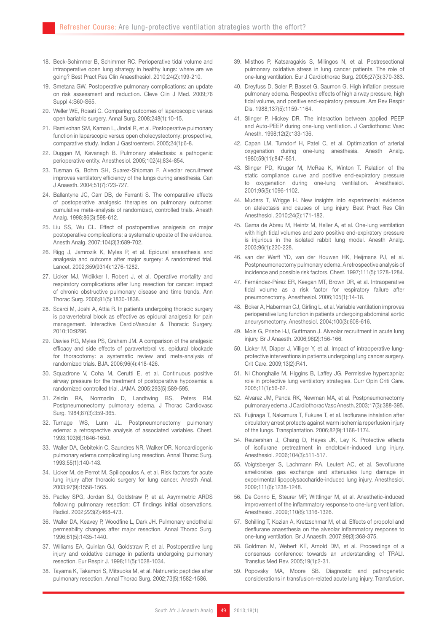- 18. Beck-Schimmer B, Schimmer RC. Perioperative tidal volume and intraoperative open lung strategy in healthy lungs: where are we going? Best Pract Res Clin Anaesthesiol. 2010;24(2):199-210.
- 19. Smetana GW. Postoperative pulmonary complications: an update on risk assessment and reduction. Cleve Clin J Med. 2009;76 Suppl 4:S60-S65.
- 20. Weller WE, Rosati C. Comparing outcomes of laparoscopic versus open bariatric surgery. Annal Surg. 2008;248(1):10-15.
- 21. Ramivohan SM, Kaman L, Jindal R, et al. Postoperative pulmonary function in laparscopic versus open cholecystectomy: prospective, comparative study. Indian J Gastroenterol. 2005;24(1):6-8.
- 22. Duggan M, Kavanagh B. Pulmonary atelectasis: a pathogenic perioperative entity. Anesthesiol. 2005;102(4):834-854.
- 23. Tusman G, Bohm SH, Suarez-Shipman F. Alveolar recruitment improves ventilatory efficiency of the lungs during anesthesia. Can J Anaesth. 2004;51(7):723-727.
- 24. Ballantyne JC, Carr DB, de Ferranti S. The comparative effects of postoperative analgesic therapies on pulmonary outcome: cumulative meta-analysis of randomized, controlled trials. Anesth Analg. 1998;86(3):598-612.
- 25. Liu SS, Wu CL. Effect of postoperative analgesia on major postoperative complications: a systematic update of the evidence. Anesth Analg. 2007;104(3)3:689-702.
- 26. Rigg J, Jamrozik K, Myles P, et al. Epidural anaesthesia and analgesia and outcome after major surgery: A randomized trial. Lancet. 2002;359(9314):1276-1282.
- 27. Licker MJ, Widikker I, Robert J, et al. Operative mortality and respiratory complications after lung resection for cancer: impact of chronic obstructive pulmonary disease and time trends. Ann Thorac Surg. 2006;81(5):1830-1838.
- 28. Scarci M, Joshi A, Attia R. In patients undergoing thoracic surgery is paravertebral block as effective as epidural analgesia for pain management. Interactive CardioVascular & Thoracic Surgery. 2010;10:9296.
- 29. Davies RG, Myles PS, Graham JM. A comparison of the analgesic efficacy and side effects of paravertebral vs. epidural blockade for thoracotomy: a systematic review and meta-analysis of randomized trials. BJA. 2006;96(4):418-426.
- 30. Squadrone V, Coha M, Cerutti E, et al. Continuous positive airway pressure for the treatment of postoperative hypoxemia: a randomized controlled trial. JAMA. 2005;293(5):589-595.
- 31. Zeldin RA, Normadin D, Landtwing BS, Peters RM. Postpneumonectomy pulmonary edema. J Thorac Cardiovasc Surg. 1984;87(3):359-365.
- 32. Turnage WS, Lunn JL. Postpneumonectomy pulmonary edema: a retrospective analysis of associated variables. Chest. 1993;103(6):1646-1650.
- 33. Waller DA, Gebitekin C, Saundres NR, Walker DR. Noncardiogenic pulmonary edema complicating lung resection. Annal Thorac Surg. 1993;55(1):140-143.
- 34. Licker M, de Perrot M, Spiliopoulos A, et al. Risk factors for acute lung injury after thoracic surgery for lung cancer. Anesth Anal. 2003;97(9):1558-1565.
- 35. Padley SPG, Jordan SJ, Goldstraw P, et al. Asymmetric ARDS following pulmonary resection: CT findings initial observations. Radiol. 2002;223(2):468-473.
- 36. Waller DA, Keavey P, Woodfine L, Dark JH. Pulmonary endothelial permeability changes after major resection. Annal Thorac Surg. 1996;61(5):1435-1440.
- 37. Williams EA, Quinlan GJ, Goldstraw P, et al. Postoperative lung injury and oxidative damage in patients undergoing pulmonary resection. Eur Respir J. 1998;11(5):1028-1034.
- 38. Tayama K, Takamori S, Mitsuoka M, et al. Natriuretic peptides after pulmonary resection. Annal Thorac Surg. 2002;73(5):1582-1586.
- 39. Misthos P, Katsaragakis S, Milingos N, et al. Postresectional pulmonary oxidative stress in lung cancer patients. The role of one-lung ventilation. Eur J Cardiothorac Surg. 2005;27(3):370-383.
- 40. Dreyfuss D, Soler P, Basset G, Saumon G. High inflation pressure pulmonary edema. Respective effects of high airway pressure, high tidal volume, and positive end-expiratory pressure. Am Rev Respir Dis. 1988;137(5):1159-1164.
- 41. Slinger P, Hickey DR. The interaction between applied PEEP and Auto-PEEP during one-lung ventilation. J Cardiothorac Vasc Anesth. 1998;12(2):133-136.
- 42. Capan LM, Turndorf H, Patel C, et al. Optimization of arterial oxygenation during one-lung anesthesia. Anesth Analg. 1980;59(11):847-851.
- 43. Slinger PD, Kruger M, McRae K, Winton T. Relation of the static compliance curve and positive end-expiratory pressure to oxygenation during one-lung ventilation. Anesthesiol. 2001;95(5):1096-1102.
- 44. Muders T, Wrigge H. New insights into experimental evidence on atelectasis and causes of lung injury. Best Pract Res Clin Anesthesiol. 2010;24(2):171-182.
- 45. Gama de Abreu M, Heintz M, Heller A, et al. One-lung ventilation with high tidal volumes and zero positive end-expiratory pressure is injurious in the isolated rabbit lung model. Anesth Analg. 2003;96(1):220-228.
- 46. van der Werff YD, van der Houwen HK, Heijmans PJ, et al. Postpneumonectomy pulmonary edema. A retrospective analysis of incidence and possible risk factors. Chest. 1997;111(5):1278-1284.
- 47. Fernández-Pérez ER, Keegan MT, Brown DR, et al. Intraoperative tidal volume as a risk factor for respiratory failure after pneumonectomy. Anesthesiol. 2006;105(1):14-18.
- 48. Boker A, Haberman CJ, Girling L, et al. Variable ventilation improves perioperative lung function in patients undergoing abdominal aortic aneurysmectomy. Anesthesiol. 2004;100(3):608-616.
- 49. Mols G, Priebe HJ, Guttmann J. Alveolar recruitment in acute lung injury. Br J Anaesth. 2006;96(2):156-166.
- 50. Licker M, Diaper J, Villiger Y, et al. Impact of intraoperative lungprotective interventions in patients undergoing lung cancer surgery. Crit Care. 2009;13(2):R41.
- 51. Ni Chonghaile M, Higgins B, Laffey JG. Permissive hypercapnia: role in protective lung ventilatory strategies. Curr Opin Criti Care. 2005;11(1):56-62.
- 52. Alvarez JM, Panda RK, Newman MA, et al. Postpneumonectomy pulmonary edema. J Cardiothorac Vasc Anesth. 2003;17(3):388-395.
- 53. Fujinaga T, Nakamura T, Fukuse T, et al. Isoflurane inhalation after circulatory arrest protects against warm ischemia reperfusion injury of the lungs. Transplantation. 2006;82(9):1168-1174.
- 54. Reutershan J, Chang D, Hayes JK, Ley K. Protective effects of isoflurane pretreatment in endotoxin-induced lung injury. Anesthesiol. 2006;104(3):511-517.
- 55. Voigtsberger S, Lachmann RA, Leutert AC, et al. Sevoflurane ameliorates gas exchange and attenuates lung damage in experimental lipopolysaccharide-induced lung injury. Anesthesiol. 2009;111(6):1238-1248.
- 56. De Conno E, Steurer MP, Wittlinger M, et al. Anesthetic-induced improvement of the inflammatory response to one-lung ventilation. Anesthesiol. 2009;110(6):1316-1326.
- 57. Schilling T, Kozian A, Kretzschmar M, et al. Effects of propofol and desflurane anaesthesia on the alveolar inflammatory response to one-lung ventilation. Br J Anaesth. 2007;99(3):368-375.
- 58. Goldman M, Webert KE, Arnold DM, et al. Proceedings of a consensus conference: towards an understanding of TRALI. Transfus Med Rev. 2005;19(1):2-31.
- 59. Popovsky MA, Moore SB. Diagnostic and pathogenetic considerations in transfusion-related acute lung injury. Transfusion.